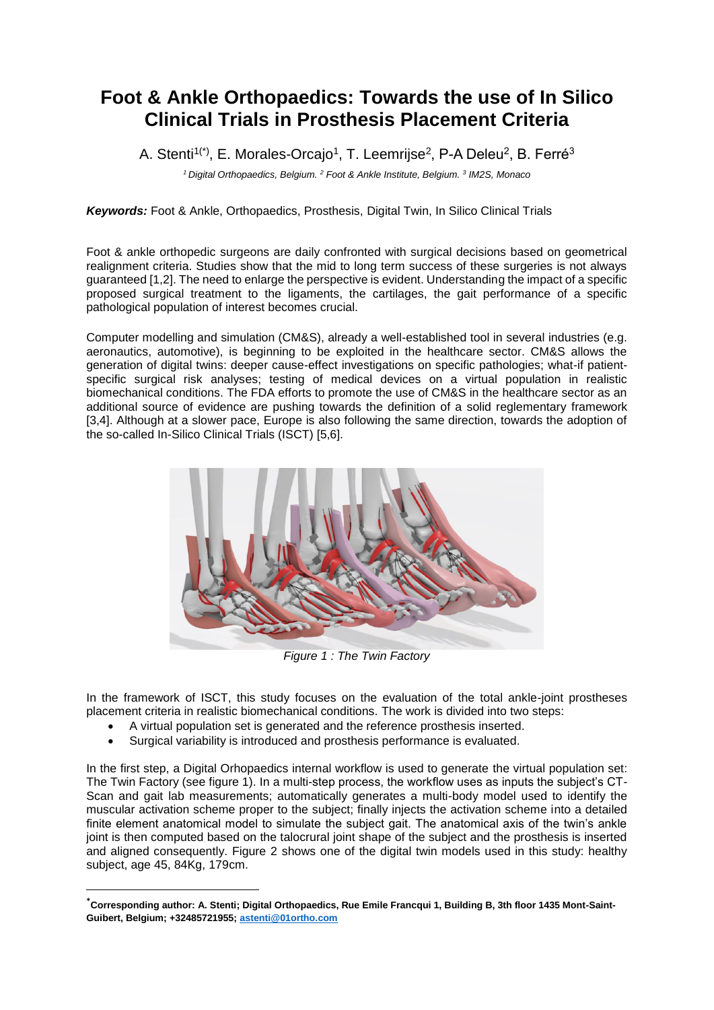## **Foot & Ankle Orthopaedics: Towards the use of In Silico Clinical Trials in Prosthesis Placement Criteria**

A. Stenti<sup>1(\*)</sup>, E. Morales-Orcajo<sup>1</sup>, T. Leemrijse<sup>2</sup>, P-A Deleu<sup>2</sup>, B. Ferré<sup>3</sup>

*<sup>1</sup>Digital Orthopaedics, Belgium. <sup>2</sup> Foot & Ankle Institute, Belgium. <sup>3</sup> IM2S, Monaco*

*Keywords:* Foot & Ankle, Orthopaedics, Prosthesis, Digital Twin, In Silico Clinical Trials

Foot & ankle orthopedic surgeons are daily confronted with surgical decisions based on geometrical realignment criteria. Studies show that the mid to long term success of these surgeries is not always guaranteed [1,2]. The need to enlarge the perspective is evident. Understanding the impact of a specific proposed surgical treatment to the ligaments, the cartilages, the gait performance of a specific pathological population of interest becomes crucial.

Computer modelling and simulation (CM&S), already a well-established tool in several industries (e.g. aeronautics, automotive), is beginning to be exploited in the healthcare sector. CM&S allows the generation of digital twins: deeper cause-effect investigations on specific pathologies; what-if patientspecific surgical risk analyses; testing of medical devices on a virtual population in realistic biomechanical conditions. The FDA efforts to promote the use of CM&S in the healthcare sector as an additional source of evidence are pushing towards the definition of a solid reglementary framework [3,4]. Although at a slower pace, Europe is also following the same direction, towards the adoption of the so-called In-Silico Clinical Trials (ISCT) [5,6].



*Figure 1 : The Twin Factory*

In the framework of ISCT, this study focuses on the evaluation of the total ankle-joint prostheses placement criteria in realistic biomechanical conditions. The work is divided into two steps:

- A virtual population set is generated and the reference prosthesis inserted.
- Surgical variability is introduced and prosthesis performance is evaluated.

**.** 

In the first step, a Digital Orhopaedics internal workflow is used to generate the virtual population set: The Twin Factory (see figure 1). In a multi-step process, the workflow uses as inputs the subject's CT-Scan and gait lab measurements; automatically generates a multi-body model used to identify the muscular activation scheme proper to the subject; finally injects the activation scheme into a detailed finite element anatomical model to simulate the subject gait. The anatomical axis of the twin's ankle joint is then computed based on the talocrural joint shape of the subject and the prosthesis is inserted and aligned consequently. Figure 2 shows one of the digital twin models used in this study: healthy subject, age 45, 84Kg, 179cm.

**<sup>\*</sup>Corresponding author: A. Stenti; Digital Orthopaedics, Rue Emile Francqui 1, Building B, 3th floor 1435 Mont-Saint-Guibert, Belgium; +32485721955; [astenti@01ortho.com](mailto:astenti@01ortho.com)**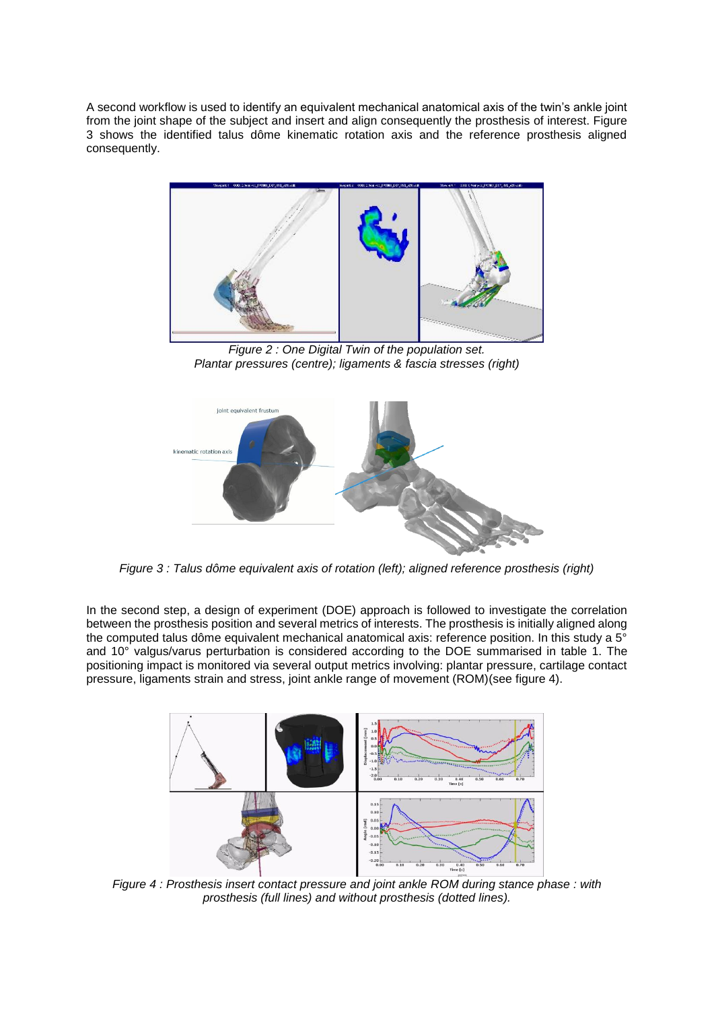A second workflow is used to identify an equivalent mechanical anatomical axis of the twin's ankle joint from the joint shape of the subject and insert and align consequently the prosthesis of interest. Figure 3 shows the identified talus dôme kinematic rotation axis and the reference prosthesis aligned consequently.



*Figure 2 : One Digital Twin of the population set. Plantar pressures (centre); ligaments & fascia stresses (right)*



*Figure 3 : Talus dôme equivalent axis of rotation (left); aligned reference prosthesis (right)*

In the second step, a design of experiment (DOE) approach is followed to investigate the correlation between the prosthesis position and several metrics of interests. The prosthesis is initially aligned along the computed talus dôme equivalent mechanical anatomical axis: reference position. In this study a 5<sup>°</sup> and 10° valgus/varus perturbation is considered according to the DOE summarised in table 1. The positioning impact is monitored via several output metrics involving: plantar pressure, cartilage contact pressure, ligaments strain and stress, joint ankle range of movement (ROM)(see figure 4).



*Figure 4 : Prosthesis insert contact pressure and joint ankle ROM during stance phase : with prosthesis (full lines) and without prosthesis (dotted lines).*